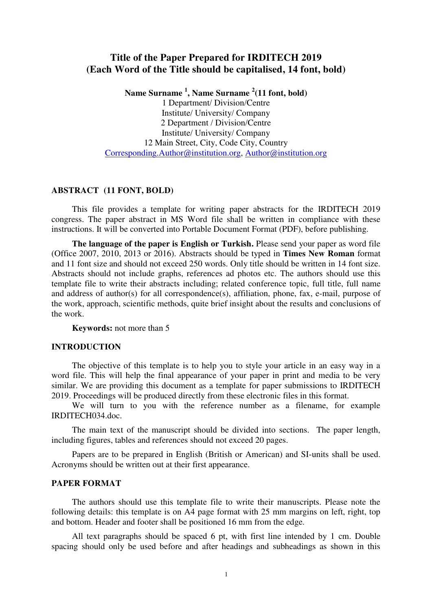# **Title of the Paper Prepared for IRDITECH 2019 (Each Word of the Title should be capitalised, 14 font, bold)**

**Name Surname <sup>1</sup> , Name Surname <sup>2</sup> (11 font, bold)** 

1 Department/ Division/Centre Institute/ University/ Company 2 Department / Division/Centre Institute/ University/ Company 12 Main Street, City, Code City, Country [Corresponding.Author@institution.org,](mailto:Corresponding.Author@institution.org) [Author@institution.org](mailto:Author@institution.org)

# **ABSTRACT (11 FONT, BOLD)**

This file provides a template for writing paper abstracts for the IRDITECH 2019 congress. The paper abstract in MS Word file shall be written in compliance with these instructions. It will be converted into Portable Document Format (PDF), before publishing.

**The language of the paper is English or Turkish.** Please send your paper as word file (Office 2007, 2010, 2013 or 2016). Abstracts should be typed in **Times New Roman** format and 11 font size and should not exceed 250 words. Only title should be written in 14 font size. Abstracts should not include graphs, references ad photos etc. The authors should use this template file to write their abstracts including; related conference topic, full title, full name and address of author(s) for all correspondence(s), affiliation, phone, fax, e-mail, purpose of the work, approach, scientific methods, quite brief insight about the results and conclusions of the work.

**Keywords:** not more than 5

## **INTRODUCTION**

The objective of this template is to help you to style your article in an easy way in a word file. This will help the final appearance of your paper in print and media to be very similar. We are providing this document as a template for paper submissions to IRDITECH 2019. Proceedings will be produced directly from these electronic files in this format.

We will turn to you with the reference number as a filename, for example IRDITECH034.doc.

The main text of the manuscript should be divided into sections. The paper length, including figures, tables and references should not exceed 20 pages.

Papers are to be prepared in English (British or American) and SI-units shall be used. Acronyms should be written out at their first appearance.

## **PAPER FORMAT**

The authors should use this template file to write their manuscripts. Please note the following details: this template is on A4 page format with 25 mm margins on left, right, top and bottom. Header and footer shall be positioned 16 mm from the edge.

All text paragraphs should be spaced 6 pt, with first line intended by 1 cm. Double spacing should only be used before and after headings and subheadings as shown in this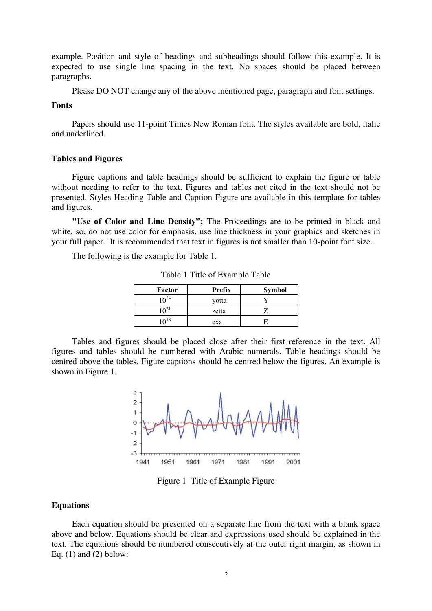example. Position and style of headings and subheadings should follow this example. It is expected to use single line spacing in the text. No spaces should be placed between paragraphs.

Please DO NOT change any of the above mentioned page, paragraph and font settings.

## **Fonts**

Papers should use 11-point Times New Roman font. The styles available are bold, italic and underlined.

#### **Tables and Figures**

Figure captions and table headings should be sufficient to explain the figure or table without needing to refer to the text. Figures and tables not cited in the text should not be presented. Styles Heading Table and Caption Figure are available in this template for tables and figures.

**"Use of Color and Line Density";** The Proceedings are to be printed in black and white, so, do not use color for emphasis, use line thickness in your graphics and sketches in your full paper. It is recommended that text in figures is not smaller than 10-point font size.

The following is the example for Table 1.

| Factor           | <b>Prefix</b> | <b>Symbol</b> |
|------------------|---------------|---------------|
| 10 <sup>24</sup> | votta         |               |
| $10^{21}$        | zetta         |               |
| 1 $\Omega^{18}$  | exa           |               |

Table 1 Title of Example Table

Tables and figures should be placed close after their first reference in the text. All figures and tables should be numbered with Arabic numerals. Table headings should be centred above the tables. Figure captions should be centred below the figures. An example is shown in Figure 1.



Figure 1 Title of Example Figure

## **Equations**

Each equation should be presented on a separate line from the text with a blank space above and below. Equations should be clear and expressions used should be explained in the text. The equations should be numbered consecutively at the outer right margin, as shown in Eq.  $(1)$  and  $(2)$  below: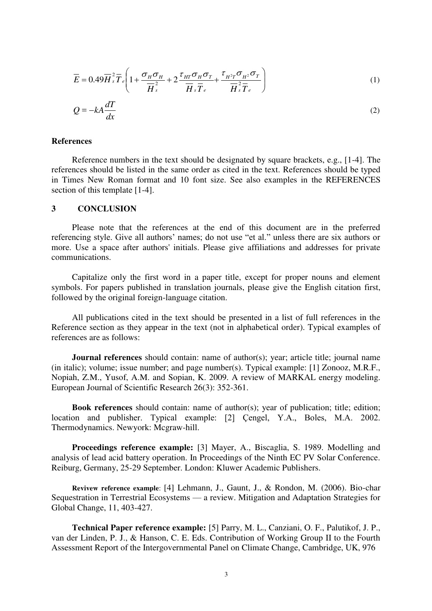$$
\overline{E} = 0.49 \overline{H}_s^2 \overline{T}_e \left( 1 + \frac{\sigma_H \sigma_H}{\overline{H}_s^2} + 2 \frac{\tau_{HT} \sigma_H \sigma_T}{\overline{H}_s \overline{T}_e} + \frac{\tau_{H^2 T} \sigma_{H^2} \sigma_T}{\overline{H}_s^2 \overline{T}_e} \right)
$$
(1)

$$
Q = -kA \frac{dT}{dx}
$$
 (2)

### **References**

Reference numbers in the text should be designated by square brackets, e.g., [1-4]. The references should be listed in the same order as cited in the text. References should be typed in Times New Roman format and 10 font size. See also examples in the REFERENCES section of this template [1-4].

#### **3 CONCLUSION**

Please note that the references at the end of this document are in the preferred referencing style. Give all authors' names; do not use "et al." unless there are six authors or more. Use a space after authors' initials. Please give affiliations and addresses for private communications.

Capitalize only the first word in a paper title, except for proper nouns and element symbols. For papers published in translation journals, please give the English citation first, followed by the original foreign-language citation.

All publications cited in the text should be presented in a list of full references in the Reference section as they appear in the text (not in alphabetical order). Typical examples of references are as follows:

**Journal references** should contain: name of author(s); year; article title; journal name (in italic); volume; issue number; and page number(s). Typical example: [1] Zonooz, M.R.F., Nopiah, Z.M., Yusof, A.M. and Sopian, K. 2009. A review of MARKAL energy modeling. European Journal of Scientific Research 26(3): 352-361.

**Book references** should contain: name of author(s); year of publication; title; edition; location and publisher. Typical example: [2] Çengel, Y.A., Boles, M.A. 2002. Thermodynamics. Newyork: Mcgraw-hill.

**Proceedings reference example:** [3] Mayer, A., Biscaglia, S. 1989. Modelling and analysis of lead acid battery operation. In Proceedings of the Ninth EC PV Solar Conference. Reiburg, Germany, 25-29 September. London: Kluwer Academic Publishers.

**Revivew reference example**: [4] Lehmann, J., Gaunt, J., & Rondon, M. (2006). Bio-char Sequestration in Terrestrial Ecosystems — a review. Mitigation and Adaptation Strategies for Global Change, 11, 403-427.

**Technical Paper reference example:** [5] Parry, M. L., Canziani, O. F., Palutikof, J. P., van der Linden, P. J., & Hanson, C. E. Eds. Contribution of Working Group II to the Fourth Assessment Report of the Intergovernmental Panel on Climate Change, Cambridge, UK, 976